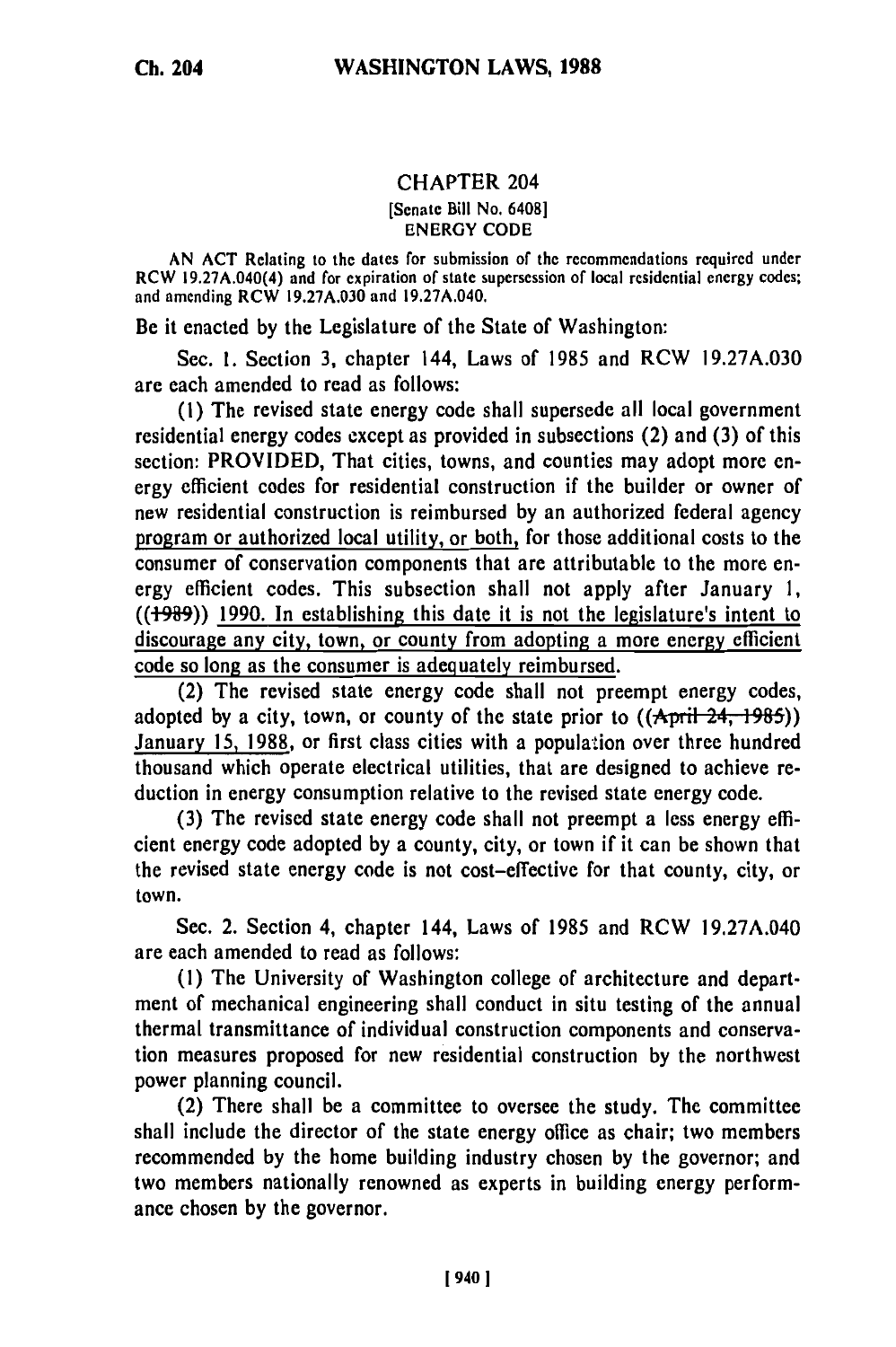## CHAPTER 204

## [Senate Bill No. 6408] ENERGY CODE

**AN ACT** Relating to the dates for submission of the recommendations required under RCW 19.27A.040(4) and for expiration **of** state supersession of local residential energy codes; and amending RCW **19.27A.030** and **19.27A.040.**

Be it enacted **by** the Legislature **of** the State of Washington:

Sec. **1.** Section **3,** chapter 144, Laws of **1985** and RCW **19.27A.030** are each amended to read as follows:

**(1)** The revised state energy code shall supersede all local government residential energy codes except as provided in subsections (2) and **(3)** of this section: PROVIDED, That cities, towns, and counties may adopt more energy efficient codes for residential construction if the builder or owner of new residential construction is reimbursed **by** an authorized federal agency program or authorized local utility, or both, for those additional costs to the consumer of conservation components that are attributable to the more energy efficient codes. This subsection shall not apply after January **1, ((+989)) 1990.** In establishing this date it is not the legislature's intent to discourage any city, town, or county from adopting a more energy efficient code so long as the consumer is adequately reimbursed.

(2) The revised state energy code shall not preempt energy codes, adopted by a city, town, or county of the state prior to  $((\text{April-24,-1985}))$ January **15, 1988,** or first class cities with a population over three hundred thousand which operate electrical utilities, that are designed to achieve reduction in energy consumption relative to the revised state energy code.

**(3)** The revised state energy code shall not preempt a less energy efficient energy code adopted **by** a county, city, or town if it can be shown that the revised state energy code is not cost-effective for that county, city, or town.

Sec. 2. Section 4, chapter 144, Laws of **1985** and RCW **19.27A.040** are each amended to read as follows:

**(1)** The University of Washington college of architecture and department of mechanical engineering shall conduct in situ testing of the annual thermal transmittance of individual construction components and conservation measures proposed for new residential construction **by** the northwest power planning council.

(2) There shall be a committee to oversee the study. The committee shall include the director of the state energy office as chair; two members recommended **by** the home building industry chosen **by** the governor; and two members nationally renowned as experts in building energy performance chosen **by** the governor.